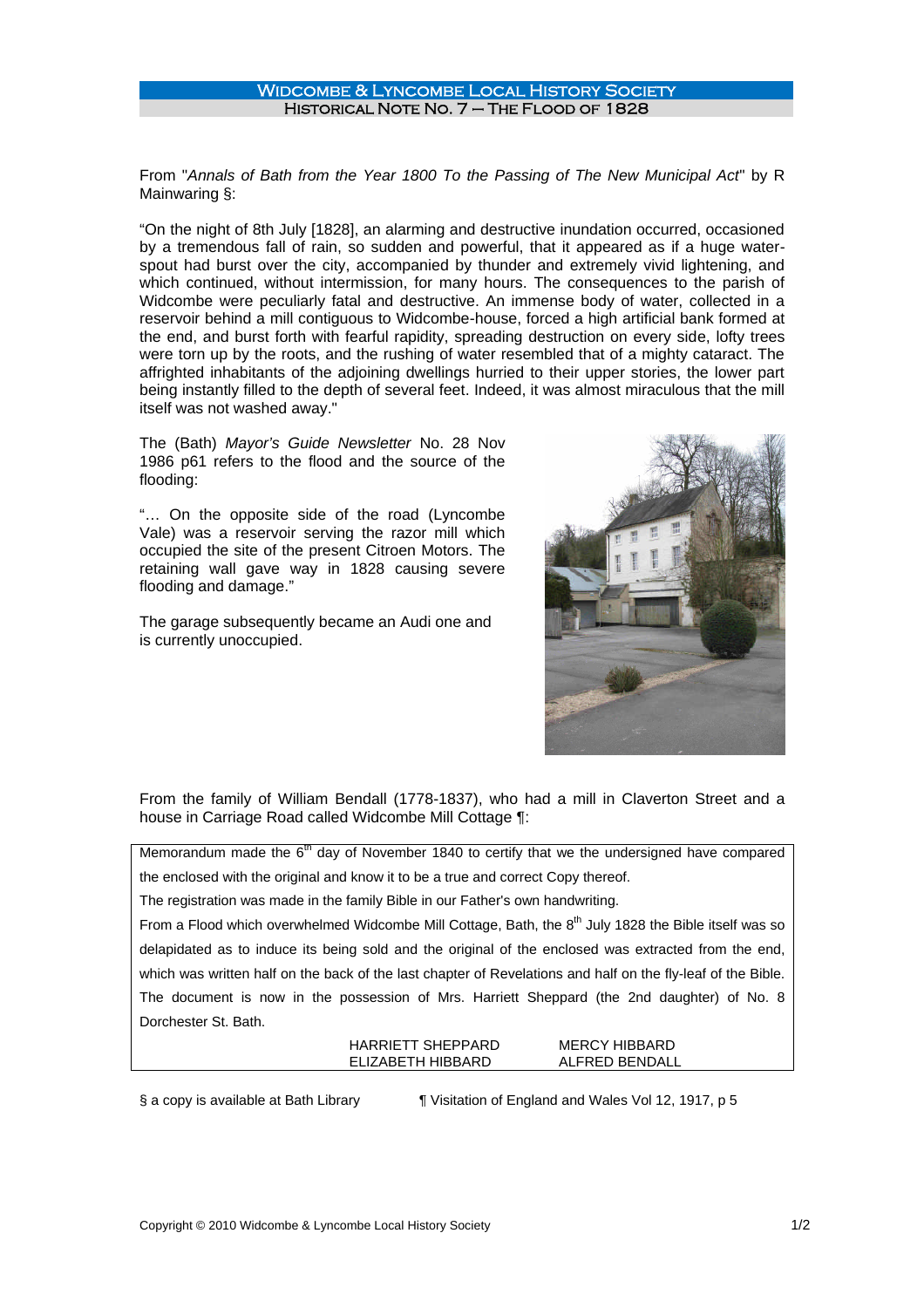## Widcombe & Lyncombe Local History Society Historical Note No. 7 – The Flood of 1828

From "*Annals of Bath from the Year 1800 To the Passing of The New Municipal Act*" by R Mainwaring §:

"On the night of 8th July [1828], an alarming and destructive inundation occurred, occasioned by a tremendous fall of rain, so sudden and powerful, that it appeared as if a huge waterspout had burst over the city, accompanied by thunder and extremely vivid lightening, and which continued, without intermission, for many hours. The consequences to the parish of Widcombe were peculiarly fatal and destructive. An immense body of water, collected in a reservoir behind a mill contiguous to Widcombe-house, forced a high artificial bank formed at the end, and burst forth with fearful rapidity, spreading destruction on every side, lofty trees were torn up by the roots, and the rushing of water resembled that of a mighty cataract. The affrighted inhabitants of the adjoining dwellings hurried to their upper stories, the lower part being instantly filled to the depth of several feet. Indeed, it was almost miraculous that the mill itself was not washed away."

The (Bath) *Mayor's Guide Newsletter* No. 28 Nov 1986 p61 refers to the flood and the source of the flooding:

"… On the opposite side of the road (Lyncombe Vale) was a reservoir serving the razor mill which occupied the site of the present Citroen Motors. The retaining wall gave way in 1828 causing severe flooding and damage."

The garage subsequently became an Audi one and is currently unoccupied.



From the family of William Bendall (1778-1837), who had a mill in Claverton Street and a house in Carriage Road called Widcombe Mill Cottage ¶:

Memorandum made the  $6<sup>th</sup>$  day of November 1840 to certify that we the undersigned have compared the enclosed with the original and know it to be a true and correct Copy thereof.

The registration was made in the family Bible in our Father's own handwriting.

From a Flood which overwhelmed Widcombe Mill Cottage, Bath, the 8<sup>th</sup> July 1828 the Bible itself was so delapidated as to induce its being sold and the original of the enclosed was extracted from the end, which was written half on the back of the last chapter of Revelations and half on the fly-leaf of the Bible. The document is now in the possession of Mrs. Harriett Sheppard (the 2nd daughter) of No. 8 Dorchester St. Bath.

| HARRIETT SHEPPARD | MERCY HIBBARD  |
|-------------------|----------------|
| FLIZABETH HIBBARD | ALFRED BENDALL |

§ a copy is available at Bath Library ¶ Visitation of England and Wales Vol 12, 1917, p 5